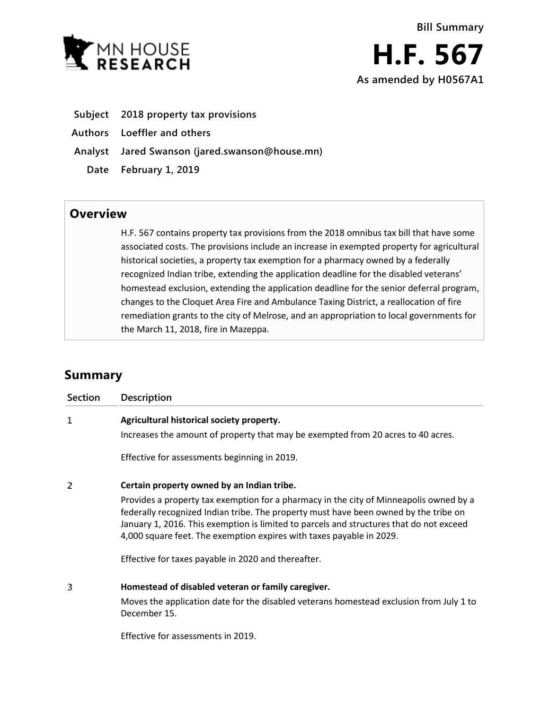

- **Subject 2018 property tax provisions**
- **Authors Loeffler and others**
- **Analyst Jared Swanson (jared.swanson@house.mn)**
	- **Date February 1, 2019**

## **Overview**

H.F. 567 contains property tax provisions from the 2018 omnibus tax bill that have some associated costs. The provisions include an increase in exempted property for agricultural historical societies, a property tax exemption for a pharmacy owned by a federally recognized Indian tribe, extending the application deadline for the disabled veterans' homestead exclusion, extending the application deadline for the senior deferral program, changes to the Cloquet Area Fire and Ambulance Taxing District, a reallocation of fire remediation grants to the city of Melrose, and an appropriation to local governments for the March 11, 2018, fire in Mazeppa.

# **Summary**

| Section | <b>Description</b>                                                                                                                                                                                                                                                                                                                                                                                                                                     |
|---------|--------------------------------------------------------------------------------------------------------------------------------------------------------------------------------------------------------------------------------------------------------------------------------------------------------------------------------------------------------------------------------------------------------------------------------------------------------|
| 1       | Agricultural historical society property.<br>Increases the amount of property that may be exempted from 20 acres to 40 acres.                                                                                                                                                                                                                                                                                                                          |
|         | Effective for assessments beginning in 2019.                                                                                                                                                                                                                                                                                                                                                                                                           |
| 2       | Certain property owned by an Indian tribe.<br>Provides a property tax exemption for a pharmacy in the city of Minneapolis owned by a<br>federally recognized Indian tribe. The property must have been owned by the tribe on<br>January 1, 2016. This exemption is limited to parcels and structures that do not exceed<br>4,000 square feet. The exemption expires with taxes payable in 2029.<br>Effective for taxes payable in 2020 and thereafter. |
| 3       | Homestead of disabled veteran or family caregiver.<br>Moves the application date for the disabled veterans homestead exclusion from July 1 to<br>December 15.                                                                                                                                                                                                                                                                                          |

Effective for assessments in 2019.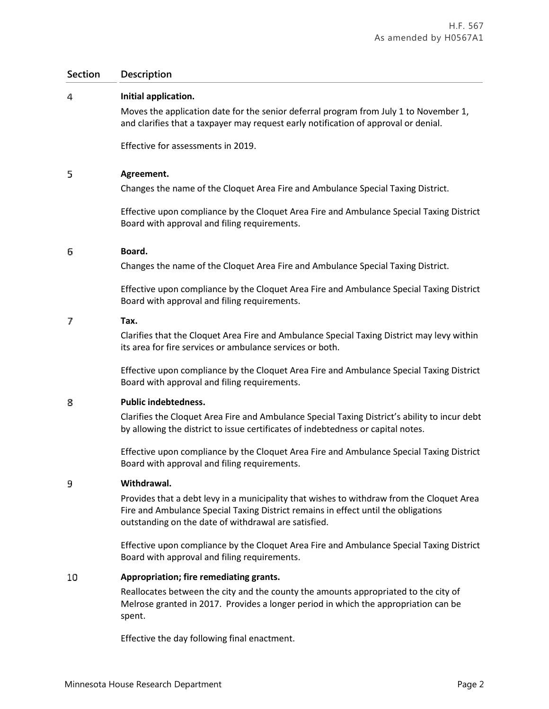### **Section Description**

#### 4 **Initial application.**

Moves the application date for the senior deferral program from July 1 to November 1, and clarifies that a taxpayer may request early notification of approval or denial.

Effective for assessments in 2019.

#### 5 **Agreement.**

Changes the name of the Cloquet Area Fire and Ambulance Special Taxing District.

Effective upon compliance by the Cloquet Area Fire and Ambulance Special Taxing District Board with approval and filing requirements.

#### 6 **Board.**

Changes the name of the Cloquet Area Fire and Ambulance Special Taxing District.

Effective upon compliance by the Cloquet Area Fire and Ambulance Special Taxing District Board with approval and filing requirements.

#### 7 **Tax.**

Clarifies that the Cloquet Area Fire and Ambulance Special Taxing District may levy within its area for fire services or ambulance services or both.

Effective upon compliance by the Cloquet Area Fire and Ambulance Special Taxing District Board with approval and filing requirements.

#### 8 **Public indebtedness.**

Clarifies the Cloquet Area Fire and Ambulance Special Taxing District's ability to incur debt by allowing the district to issue certificates of indebtedness or capital notes.

Effective upon compliance by the Cloquet Area Fire and Ambulance Special Taxing District Board with approval and filing requirements.

#### **Withdrawal.** 9

Provides that a debt levy in a municipality that wishes to withdraw from the Cloquet Area Fire and Ambulance Special Taxing District remains in effect until the obligations outstanding on the date of withdrawal are satisfied.

Effective upon compliance by the Cloquet Area Fire and Ambulance Special Taxing District Board with approval and filing requirements.

#### **Appropriation; fire remediating grants.** 10

Reallocates between the city and the county the amounts appropriated to the city of Melrose granted in 2017. Provides a longer period in which the appropriation can be spent.

Effective the day following final enactment.